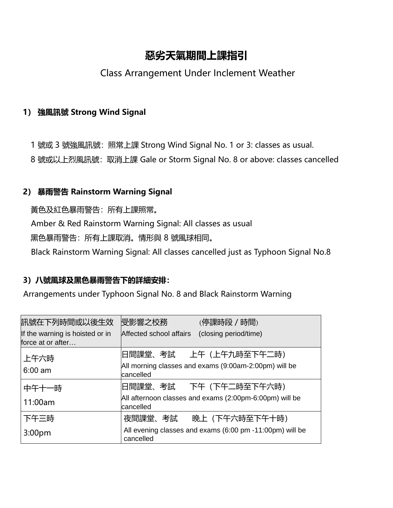# **惡劣天氣期間上課指引**

# Class Arrangement Under Inclement Weather

## **1) 強風訊號 Strong Wind Signal**

1 號或 3 號強風訊號: 照常上課 Strong Wind Signal No. 1 or 3: classes as usual.

8 號或以上烈風訊號:取消上課 Gale or Storm Signal No. 8 or above: classes cancelled

## **2) 暴雨警告 Rainstorm Warning Signal**

黃色及紅色暴雨警告:所有上課照常。 Amber & Red Rainstorm Warning Signal: All classes as usual 黑色暴雨警告:所有上課取消。情形與 8 號風球相同。 Black Rainstorm Warning Signal: All classes cancelled just as Typhoon Signal No.8

## **3)八號風球及黑色暴雨警告下的詳細安排:**

Arrangements under Typhoon Signal No. 8 and Black Rainstorm Warning

| 訊號在下列時間或以後生效                                         | 受影響之校務<br>(停課時段 / 時間)                                                                        |
|------------------------------------------------------|----------------------------------------------------------------------------------------------|
| If the warning is hoisted or in<br>force at or after | (closing period/time)<br>Affected school affairs                                             |
| 上午六時<br>$6:00 \text{ am}$                            | 旧間課堂、考試──上午(上午九時至下午二時)<br>All morning classes and exams (9:00am-2:00pm) will be<br>cancelled |
| 中午十一時                                                | 旧間課堂、考試 下午(下午二時至下午六時)                                                                        |
| 11:00am                                              | All afternoon classes and exams (2:00pm-6:00pm) will be<br>cancelled                         |
| 下午三時                                                 | 晚上 (下午六時至下午十時)<br>夜間課堂、考試                                                                    |
| 3:00 <sub>pm</sub>                                   | All evening classes and exams (6:00 pm -11:00pm) will be<br>cancelled                        |